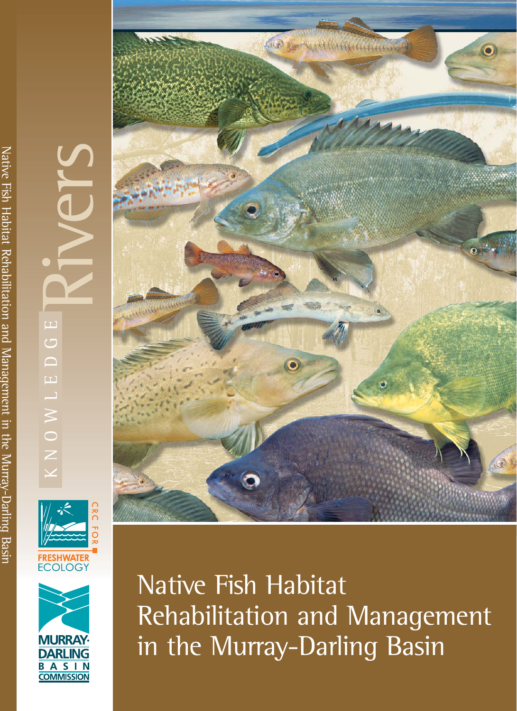# Rivers  $\Box$ KNOWLEDGE  $\overline{\mathbb{C}}$  $\overline{\phantom{0}}$  $\Box$ NOWL





Native Fish Habitat Rehabilitation and Management in the Murray-Darling Basin

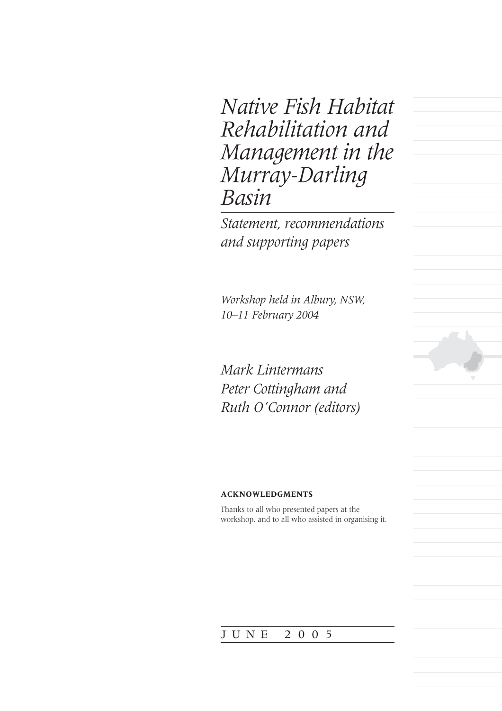*Native Fish Habitat Rehabilitation and Management in the Murray-Darling Basin*

*Statement, recommendations and supporting papers*

*Workshop held in Albury, NSW, 10–11 February 2004*

*Mark Lintermans Peter Cottingham and Ruth O'Connor (editors)*

#### **ACKNOWLEDGMENTS**

Thanks to all who presented papers at the workshop, and to all who assisted in organising it.

#### JUNE 2005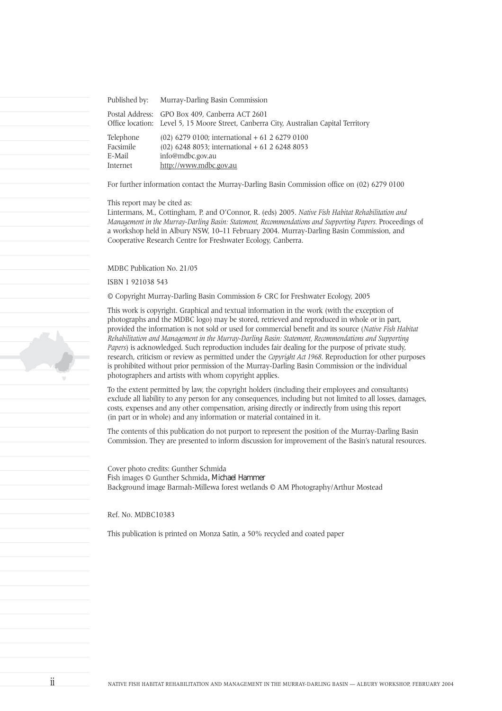Published by: Murray-Darling Basin Commission Postal Address: GPO Box 409, Canberra ACT 2601 Office location: Level 5, 15 Moore Street, Canberra City, Australian Capital Territory Telephone (02) 6279 0100; international + 61 2 6279 0100 Facsimile (02) 6248 8053; international + 61 2 6248 8053 E-Mail info@mdbc.gov.au Internet http://www.mdbc.gov.au

For further information contact the Murray-Darling Basin Commission office on (02) 6279 0100

This report may be cited as:

Lintermans, M., Cottingham, P. and O'Connor, R. (eds) 2005. *Native Fish Habitat Rehabilitation and Management in the Murray-Darling Basin: Statement, Recommendations and Supporting Papers. Proceedings of* a workshop held in Albury NSW, 10–11 February 2004. Murray-Darling Basin Commission, and Cooperative Research Centre for Freshwater Ecology, Canberra.

MDBC Publication No. 21/05

ISBN 1 921038 543

© Copyright Murray-Darling Basin Commission & CRC for Freshwater Ecology, 2005

This work is copyright. Graphical and textual information in the work (with the exception of photographs and the MDBC logo) may be stored, retrieved and reproduced in whole or in part, provided the information is not sold or used for commercial benefit and its source (*Native Fish Habitat Rehabilitation and Management in the Murray-Darling Basin: Statement, Recommendations and Supporting Papers*) is acknowledged. Such reproduction includes fair dealing for the purpose of private study, research, criticism or review as permitted under the *Copyright Act 1968*. Reproduction for other purposes is prohibited without prior permission of the Murray-Darling Basin Commission or the individual photographers and artists with whom copyright applies.

To the extent permitted by law, the copyright holders (including their employees and consultants) exclude all liability to any person for any consequences, including but not limited to all losses, damages, costs, expenses and any other compensation, arising directly or indirectly from using this report (in part or in whole) and any information or material contained in it.

The contents of this publication do not purport to represent the position of the Murray-Darling Basin Commission. They are presented to inform discussion for improvement of the Basin's natural resources.

Cover photo credits: Gunther Schmida Fish images © Gunther Schmida, Michael Hammer Background image Barmah-Millewa forest wetlands © AM Photography/Arthur Mostead

Ref. No. MDBC10383

This publication is printed on Monza Satin, a 50% recycled and coated paper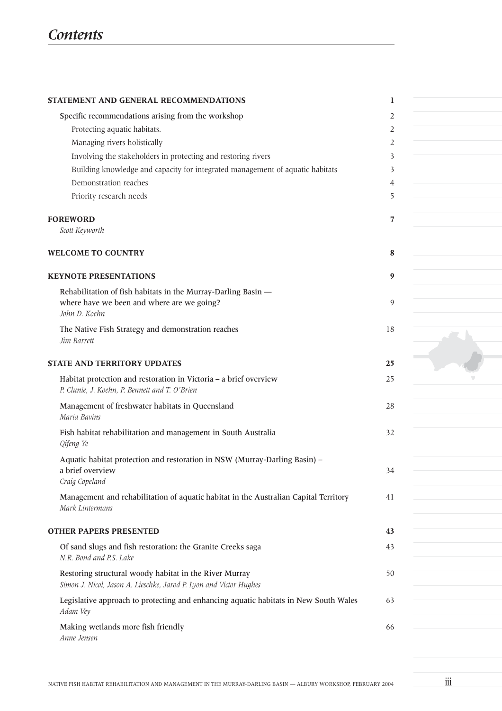| STATEMENT AND GENERAL RECOMMENDATIONS                                                                   | 1  |  |
|---------------------------------------------------------------------------------------------------------|----|--|
|                                                                                                         | 2  |  |
| Specific recommendations arising from the workshop<br>Protecting aquatic habitats.                      | 2  |  |
| Managing rivers holistically                                                                            | 2  |  |
| Involving the stakeholders in protecting and restoring rivers                                           | 3  |  |
| Building knowledge and capacity for integrated management of aquatic habitats                           | 3  |  |
| Demonstration reaches                                                                                   | 4  |  |
| Priority research needs                                                                                 | 5  |  |
|                                                                                                         |    |  |
| <b>FOREWORD</b>                                                                                         | 7  |  |
| Scott Keyworth                                                                                          |    |  |
|                                                                                                         |    |  |
| <b>WELCOME TO COUNTRY</b>                                                                               | 8  |  |
| <b>KEYNOTE PRESENTATIONS</b>                                                                            | 9  |  |
| Rehabilitation of fish habitats in the Murray-Darling Basin -                                           |    |  |
| where have we been and where are we going?                                                              | 9  |  |
| John D. Koehn                                                                                           |    |  |
| The Native Fish Strategy and demonstration reaches                                                      | 18 |  |
| Jim Barrett                                                                                             |    |  |
|                                                                                                         |    |  |
| <b>STATE AND TERRITORY UPDATES</b>                                                                      | 25 |  |
| Habitat protection and restoration in Victoria - a brief overview                                       | 25 |  |
| P. Clunie, J. Koehn, P. Bennett and T. O'Brien                                                          |    |  |
| Management of freshwater habitats in Queensland                                                         | 28 |  |
| Maria Bavins                                                                                            |    |  |
| Fish habitat rehabilitation and management in South Australia                                           | 32 |  |
| Qifeng Ye                                                                                               |    |  |
| Aquatic habitat protection and restoration in NSW (Murray-Darling Basin) -                              |    |  |
| a brief overview<br>Craig Copeland                                                                      | 34 |  |
|                                                                                                         |    |  |
| Management and rehabilitation of aquatic habitat in the Australian Capital Territory<br>Mark Lintermans | 41 |  |
|                                                                                                         |    |  |
| <b>OTHER PAPERS PRESENTED</b>                                                                           | 43 |  |
| Of sand slugs and fish restoration: the Granite Creeks saga                                             | 43 |  |
| N.R. Bond and P.S. Lake                                                                                 |    |  |
| Restoring structural woody habitat in the River Murray                                                  | 50 |  |
| Simon J. Nicol, Jason A. Lieschke, Jarod P. Lyon and Victor Hughes                                      |    |  |
| Legislative approach to protecting and enhancing aquatic habitats in New South Wales                    | 63 |  |
| Adam Vey                                                                                                |    |  |
| Making wetlands more fish friendly                                                                      | 66 |  |
| Anne Jensen                                                                                             |    |  |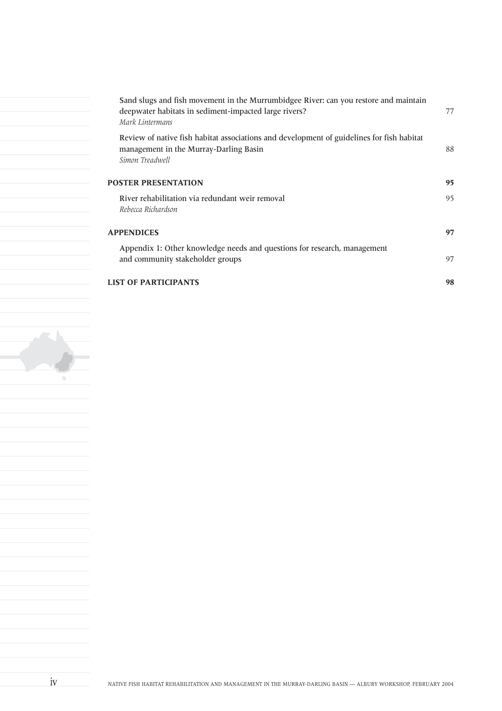| Sand slugs and fish movement in the Murrumbidgee River: can you restore and maintain<br>deepwater habitats in sediment-impacted large rivers?<br>Mark Lintermans | 77 |
|------------------------------------------------------------------------------------------------------------------------------------------------------------------|----|
| Review of native fish habitat associations and development of guidelines for fish habitat<br>management in the Murray-Darling Basin<br>Simon Treadwell           | 88 |
| <b>POSTER PRESENTATION</b>                                                                                                                                       | 95 |
| River rehabilitation via redundant weir removal<br>Rebecca Richardson                                                                                            | 95 |
| <b>APPENDICES</b>                                                                                                                                                | 97 |
| Appendix 1: Other knowledge needs and questions for research, management<br>and community stakeholder groups                                                     | 97 |
| <b>LIST OF PARTICIPANTS</b>                                                                                                                                      | 98 |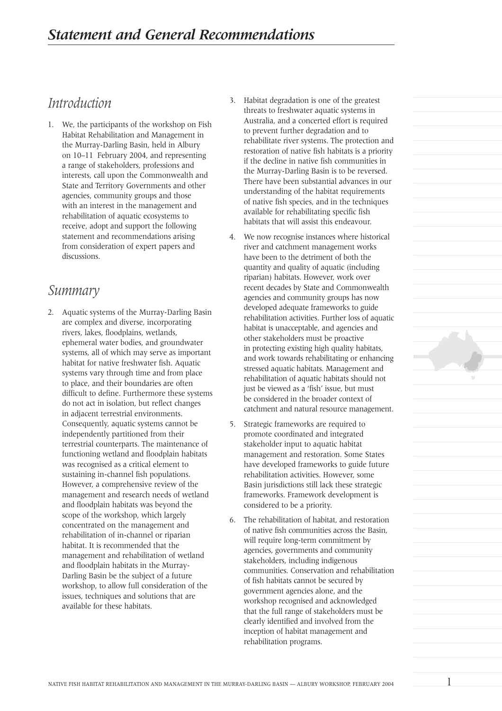## *Introduction*

1. We, the participants of the workshop on Fish Habitat Rehabilitation and Management in the Murray-Darling Basin, held in Albury on 10–11 February 2004, and representing a range of stakeholders, professions and interests, call upon the Commonwealth and State and Territory Governments and other agencies, community groups and those with an interest in the management and rehabilitation of aquatic ecosystems to receive, adopt and support the following statement and recommendations arising from consideration of expert papers and discussions.

### *Summary*

2. Aquatic systems of the Murray-Darling Basin are complex and diverse, incorporating rivers, lakes, floodplains, wetlands, ephemeral water bodies, and groundwater systems, all of which may serve as important habitat for native freshwater fish. Aquatic systems vary through time and from place to place, and their boundaries are often difficult to define. Furthermore these systems do not act in isolation, but reflect changes in adjacent terrestrial environments. Consequently, aquatic systems cannot be independently partitioned from their terrestrial counterparts. The maintenance of functioning wetland and floodplain habitats was recognised as a critical element to sustaining in-channel fish populations. However, a comprehensive review of the management and research needs of wetland and floodplain habitats was beyond the scope of the workshop, which largely concentrated on the management and rehabilitation of in-channel or riparian habitat. It is recommended that the management and rehabilitation of wetland and floodplain habitats in the Murray-Darling Basin be the subject of a future workshop, to allow full consideration of the issues, techniques and solutions that are available for these habitats.

- 3. Habitat degradation is one of the greatest threats to freshwater aquatic systems in Australia, and a concerted effort is required to prevent further degradation and to rehabilitate river systems. The protection and restoration of native fish habitats is a priority if the decline in native fish communities in the Murray-Darling Basin is to be reversed. There have been substantial advances in our understanding of the habitat requirements of native fish species, and in the techniques available for rehabilitating specific fish habitats that will assist this endeavour.
- 4. We now recognise instances where historical river and catchment management works have been to the detriment of both the quantity and quality of aquatic (including riparian) habitats. However, work over recent decades by State and Commonwealth agencies and community groups has now developed adequate frameworks to guide rehabilitation activities. Further loss of aquatic habitat is unacceptable, and agencies and other stakeholders must be proactive in protecting existing high quality habitats, and work towards rehabilitating or enhancing stressed aquatic habitats. Management and rehabilitation of aquatic habitats should not just be viewed as a 'fish' issue, but must be considered in the broader context of catchment and natural resource management.
- 5. Strategic frameworks are required to promote coordinated and integrated stakeholder input to aquatic habitat management and restoration. Some States have developed frameworks to guide future rehabilitation activities. However, some Basin jurisdictions still lack these strategic frameworks. Framework development is considered to be a priority.
- 6. The rehabilitation of habitat, and restoration of native fish communities across the Basin, will require long-term commitment by agencies, governments and community stakeholders, including indigenous communities. Conservation and rehabilitation of fish habitats cannot be secured by government agencies alone, and the workshop recognised and acknowledged that the full range of stakeholders must be clearly identified and involved from the inception of habitat management and rehabilitation programs.

1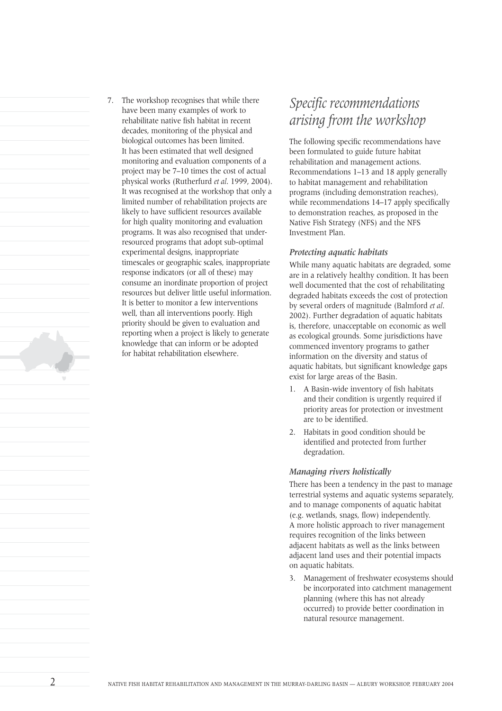

7. The workshop recognises that while there have been many examples of work to rehabilitate native fish habitat in recent decades, monitoring of the physical and biological outcomes has been limited. It has been estimated that well designed monitoring and evaluation components of a project may be 7–10 times the cost of actual physical works (Rutherfurd *et al*. 1999, 2004). It was recognised at the workshop that only a limited number of rehabilitation projects are likely to have sufficient resources available for high quality monitoring and evaluation programs. It was also recognised that underresourced programs that adopt sub-optimal experimental designs, inappropriate timescales or geographic scales, inappropriate response indicators (or all of these) may consume an inordinate proportion of project resources but deliver little useful information. It is better to monitor a few interventions well, than all interventions poorly. High priority should be given to evaluation and reporting when a project is likely to generate knowledge that can inform or be adopted for habitat rehabilitation elsewhere.

# *Specific recommendations arising from the workshop*

The following specific recommendations have been formulated to guide future habitat rehabilitation and management actions. Recommendations 1–13 and 18 apply generally to habitat management and rehabilitation programs (including demonstration reaches), while recommendations 14–17 apply specifically to demonstration reaches, as proposed in the Native Fish Strategy (NFS) and the NFS Investment Plan.

#### *Protecting aquatic habitats*

While many aquatic habitats are degraded, some are in a relatively healthy condition. It has been well documented that the cost of rehabilitating degraded habitats exceeds the cost of protection by several orders of magnitude (Balmford *et al*. 2002). Further degradation of aquatic habitats is, therefore, unacceptable on economic as well as ecological grounds. Some jurisdictions have commenced inventory programs to gather information on the diversity and status of aquatic habitats, but significant knowledge gaps exist for large areas of the Basin.

- 1. A Basin-wide inventory of fish habitats and their condition is urgently required if priority areas for protection or investment are to be identified.
- 2. Habitats in good condition should be identified and protected from further degradation.

#### *Managing rivers holistically*

There has been a tendency in the past to manage terrestrial systems and aquatic systems separately, and to manage components of aquatic habitat (e.g. wetlands, snags, flow) independently. A more holistic approach to river management requires recognition of the links between adjacent habitats as well as the links between adjacent land uses and their potential impacts on aquatic habitats.

3. Management of freshwater ecosystems should be incorporated into catchment management planning (where this has not already occurred) to provide better coordination in natural resource management.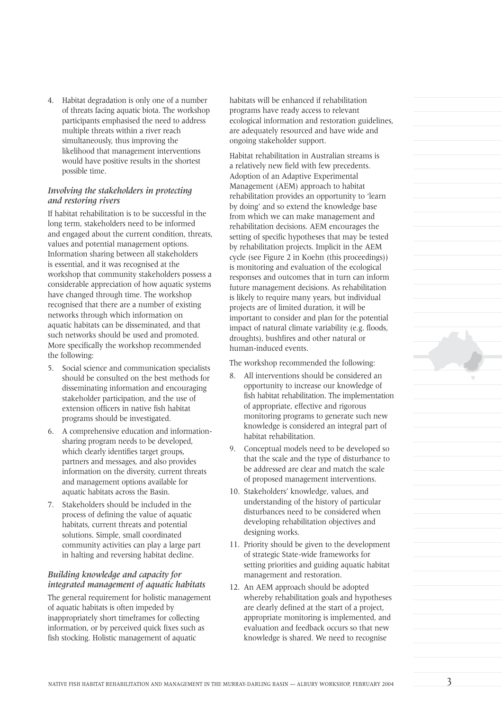4. Habitat degradation is only one of a number of threats facing aquatic biota. The workshop participants emphasised the need to address multiple threats within a river reach simultaneously, thus improving the likelihood that management interventions would have positive results in the shortest possible time.

#### *Involving the stakeholders in protecting and restoring rivers*

If habitat rehabilitation is to be successful in the long term, stakeholders need to be informed and engaged about the current condition, threats, values and potential management options. Information sharing between all stakeholders is essential, and it was recognised at the workshop that community stakeholders possess a considerable appreciation of how aquatic systems have changed through time. The workshop recognised that there are a number of existing networks through which information on aquatic habitats can be disseminated, and that such networks should be used and promoted. More specifically the workshop recommended the following:

- 5. Social science and communication specialists should be consulted on the best methods for disseminating information and encouraging stakeholder participation, and the use of extension officers in native fish habitat programs should be investigated.
- 6. A comprehensive education and informationsharing program needs to be developed, which clearly identifies target groups. partners and messages, and also provides information on the diversity, current threats and management options available for aquatic habitats across the Basin.
- 7. Stakeholders should be included in the process of defining the value of aquatic habitats, current threats and potential solutions. Simple, small coordinated community activities can play a large part in halting and reversing habitat decline.

#### *Building knowledge and capacity for integrated management of aquatic habitats*

The general requirement for holistic management of aquatic habitats is often impeded by inappropriately short timeframes for collecting information, or by perceived quick fixes such as fish stocking. Holistic management of aquatic

habitats will be enhanced if rehabilitation programs have ready access to relevant ecological information and restoration guidelines, are adequately resourced and have wide and ongoing stakeholder support.

Habitat rehabilitation in Australian streams is a relatively new field with few precedents. Adoption of an Adaptive Experimental Management (AEM) approach to habitat rehabilitation provides an opportunity to 'learn by doing' and so extend the knowledge base from which we can make management and rehabilitation decisions. AEM encourages the setting of specific hypotheses that may be tested by rehabilitation projects. Implicit in the AEM cycle (see Figure 2 in Koehn (this proceedings)) is monitoring and evaluation of the ecological responses and outcomes that in turn can inform future management decisions. As rehabilitation is likely to require many years, but individual projects are of limited duration, it will be important to consider and plan for the potential impact of natural climate variability (e.g. floods, droughts), bushfires and other natural or human-induced events.

The workshop recommended the following:

- 8. All interventions should be considered an opportunity to increase our knowledge of fish habitat rehabilitation. The implementation of appropriate, effective and rigorous monitoring programs to generate such new knowledge is considered an integral part of habitat rehabilitation.
- 9. Conceptual models need to be developed so that the scale and the type of disturbance to be addressed are clear and match the scale of proposed management interventions.
- 10. Stakeholders' knowledge, values, and understanding of the history of particular disturbances need to be considered when developing rehabilitation objectives and designing works.
- 11. Priority should be given to the development of strategic State-wide frameworks for setting priorities and guiding aquatic habitat management and restoration.
- 12. An AEM approach should be adopted whereby rehabilitation goals and hypotheses are clearly defined at the start of a project, appropriate monitoring is implemented, and evaluation and feedback occurs so that new knowledge is shared. We need to recognise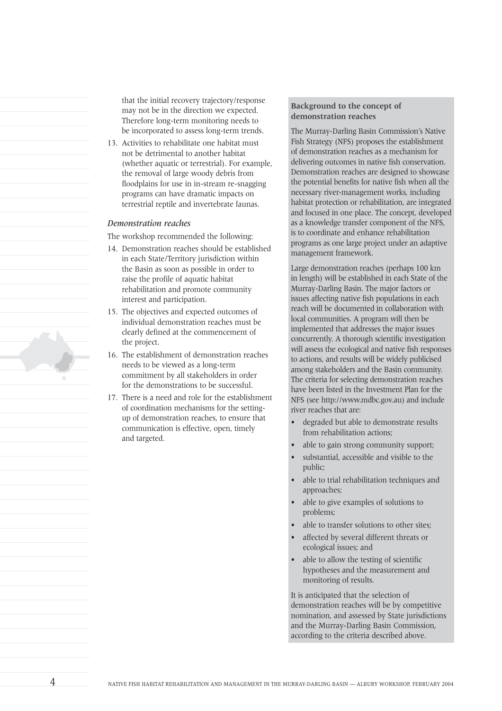that the initial recovery trajectory/response may not be in the direction we expected. Therefore long-term monitoring needs to be incorporated to assess long-term trends.

13. Activities to rehabilitate one habitat must not be detrimental to another habitat (whether aquatic or terrestrial). For example, the removal of large woody debris from floodplains for use in in-stream re-snagging programs can have dramatic impacts on terrestrial reptile and invertebrate faunas.

#### *Demonstration reaches*

The workshop recommended the following:

- 14. Demonstration reaches should be established in each State/Territory jurisdiction within the Basin as soon as possible in order to raise the profile of aquatic habitat rehabilitation and promote community interest and participation.
- 15. The objectives and expected outcomes of individual demonstration reaches must be clearly defined at the commencement of the project.
- 16. The establishment of demonstration reaches needs to be viewed as a long-term commitment by all stakeholders in order for the demonstrations to be successful.
- 17. There is a need and role for the establishment of coordination mechanisms for the settingup of demonstration reaches, to ensure that communication is effective, open, timely and targeted.

#### **Background to the concept of demonstration reaches**

The Murray-Darling Basin Commission's Native Fish Strategy (NFS) proposes the establishment of demonstration reaches as a mechanism for delivering outcomes in native fish conservation. Demonstration reaches are designed to showcase the potential benefits for native fish when all the necessary river-management works, including habitat protection or rehabilitation, are integrated and focused in one place. The concept, developed as a knowledge transfer component of the NFS, is to coordinate and enhance rehabilitation programs as one large project under an adaptive management framework.

Large demonstration reaches (perhaps 100 km in length) will be established in each State of the Murray-Darling Basin. The major factors or issues affecting native fish populations in each reach will be documented in collaboration with local communities. A program will then be implemented that addresses the major issues concurrently. A thorough scientific investigation will assess the ecological and native fish responses to actions, and results will be widely publicised among stakeholders and the Basin community. The criteria for selecting demonstration reaches have been listed in the Investment Plan for the NFS (see http://www.mdbc.gov.au) and include river reaches that are:

- degraded but able to demonstrate results from rehabilitation actions;
- able to gain strong community support;
- substantial, accessible and visible to the public;
- able to trial rehabilitation techniques and approaches;
- able to give examples of solutions to problems;
- able to transfer solutions to other sites;
- affected by several different threats or ecological issues; and
- able to allow the testing of scientific hypotheses and the measurement and monitoring of results.

It is anticipated that the selection of demonstration reaches will be by competitive nomination, and assessed by State jurisdictions and the Murray-Darling Basin Commission, according to the criteria described above.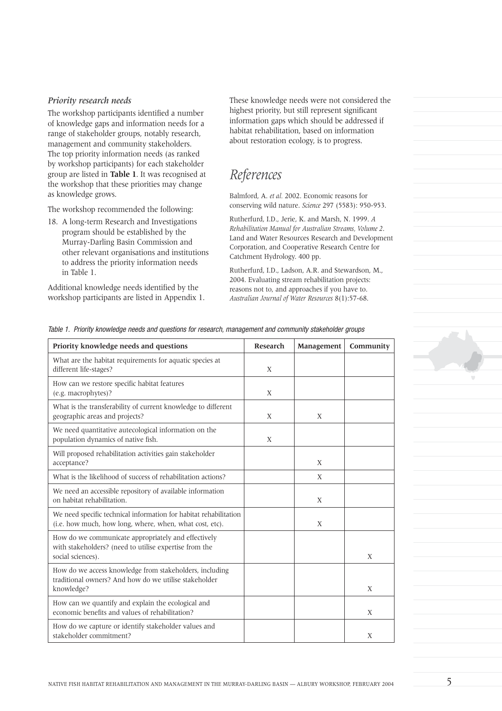#### *Priority research needs*

The workshop participants identified a number of knowledge gaps and information needs for a range of stakeholder groups, notably research, management and community stakeholders. The top priority information needs (as ranked by workshop participants) for each stakeholder group are listed in **Table 1**. It was recognised at the workshop that these priorities may change as knowledge grows.

The workshop recommended the following:

18. A long-term Research and Investigations program should be established by the Murray-Darling Basin Commission and other relevant organisations and institutions to address the priority information needs in Table 1.

Additional knowledge needs identified by the workshop participants are listed in Appendix 1. These knowledge needs were not considered the highest priority, but still represent significant information gaps which should be addressed if habitat rehabilitation, based on information about restoration ecology, is to progress.

## *References*

Balmford, A. *et al.* 2002. Economic reasons for conserving wild nature. *Science* 297 (5583): 950-953.

Rutherfurd, I.D., Jerie, K. and Marsh, N. 1999. *A Rehabilitation Manual for Australian Streams, Volume 2*. Land and Water Resources Research and Development Corporation, and Cooperative Research Centre for Catchment Hydrology. 400 pp.

Rutherfurd, I.D., Ladson, A.R. and Stewardson, M., 2004. Evaluating stream rehabilitation projects: reasons not to, and approaches if you have to. *Australian Journal of Water Resources* 8(1):57-68.

| Priority knowledge needs and questions                                                                                             | Research | Management | Community |
|------------------------------------------------------------------------------------------------------------------------------------|----------|------------|-----------|
| What are the habitat requirements for aquatic species at<br>different life-stages?                                                 | X        |            |           |
| How can we restore specific habitat features<br>(e.g. macrophytes)?                                                                | X        |            |           |
| What is the transferability of current knowledge to different<br>geographic areas and projects?                                    | X        | X          |           |
| We need quantitative autecological information on the<br>population dynamics of native fish.                                       | X        |            |           |
| Will proposed rehabilitation activities gain stakeholder<br>acceptance?                                                            |          | X          |           |
| What is the likelihood of success of rehabilitation actions?                                                                       |          | X          |           |
| We need an accessible repository of available information<br>on habitat rehabilitation.                                            |          | X          |           |
| We need specific technical information for habitat rehabilitation<br>(i.e. how much, how long, where, when, what cost, etc).       |          | X          |           |
| How do we communicate appropriately and effectively<br>with stakeholders? (need to utilise expertise from the<br>social sciences). |          |            | X         |
| How do we access knowledge from stakeholders, including<br>traditional owners? And how do we utilise stakeholder<br>knowledge?     |          |            | X         |
| How can we quantify and explain the ecological and<br>economic benefits and values of rehabilitation?                              |          |            | X         |
| How do we capture or identify stakeholder values and<br>stakeholder commitment?                                                    |          |            | X         |

Table 1. Priority knowledge needs and questions for research, management and community stakeholder groups